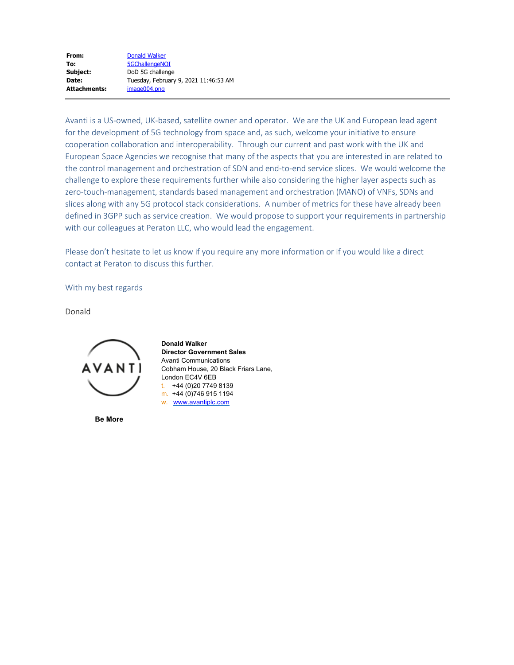| From:               | Donald Walker                         |
|---------------------|---------------------------------------|
| To:                 | <b>5GChallengeNOI</b>                 |
| Subject:            | DoD 5G challenge                      |
| Date:               | Tuesday, February 9, 2021 11:46:53 AM |
| <b>Attachments:</b> | image004.png                          |

Avanti is a US-owned, UK-based, satellite owner and operator. We are the UK and European lead agent for the development of 5G technology from space and, as such, welcome your initiative to ensure cooperation collaboration and interoperability. Through our current and past work with the UK and European Space Agencies we recognise that many of the aspects that you are interested in are related to the control management and orchestration of SDN and end-to-end service slices. We would welcome the challenge to explore these requirements further while also considering the higher layer aspects such as zero-touch-management, standards based management and orchestration (MANO) of VNFs, SDNs and slices along with any 5G protocol stack considerations. A number of metrics for these have already been defined in 3GPP such as service creation. We would propose to support your requirements in partnership with our colleagues at Peraton LLC, who would lead the engagement.

Please don't hesitate to let us know if you require any more information or if you would like a direct contact at Peraton to discuss this further.

With my best regards

Donald



**Be More**

**Donald Walker Director Government Sales** Avanti Communications Cobham House, 20 Black Friars Lane, London EC4V 6EB t. +44 (0)20 7749 8139 m. +44 (0)746 915 1194 w. [www.avantiplc.com](https://gcc02.safelinks.protection.outlook.com/?url=http%3A%2F%2Fwww.avantiplc.com%2F&data=04%7C01%7C5gchallengenoi%40ntia.gov%7Cbe194c75ec6b438a171508d8cd2b0d07%7Cd6cff1bd67dd4ce8945dd07dc775672f%7C0%7C0%7C637484932130000527%7CUnknown%7CTWFpbGZsb3d8eyJWIjoiMC4wLjAwMDAiLCJQIjoiV2luMzIiLCJBTiI6Ik1haWwiLCJXVCI6Mn0%3D%7C1000&sdata=8iT4fJhAhCiz9hE1kxIvN%2F%2FeUe25PrIMyy%2FbDX0eoqU%3D&reserved=0)